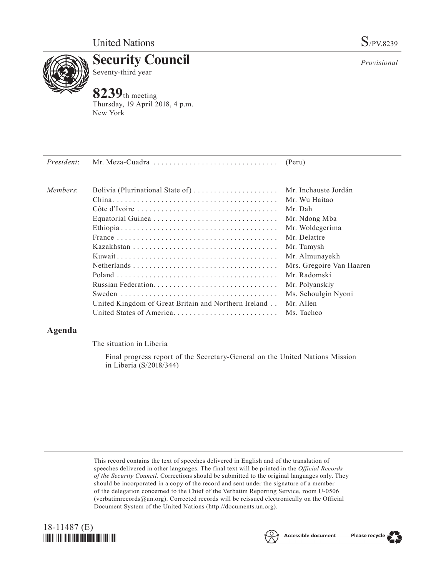

**Security Council** Seventy-third year

**8239**th meeting Thursday, 19 April 2018, 4 p.m. New York

| Members: |                                                      | Mr. Inchauste Jordán     |
|----------|------------------------------------------------------|--------------------------|
|          |                                                      | Mr. Wu Haitao            |
|          |                                                      | Mr. Dah                  |
|          |                                                      | Mr. Ndong Mba            |
|          |                                                      | Mr. Woldegerima          |
|          |                                                      | Mr. Delattre             |
|          |                                                      | Mr. Tumysh               |
|          |                                                      | Mr. Almunayekh           |
|          |                                                      | Mrs. Gregoire Van Haaren |
|          |                                                      | Mr. Radomski             |
|          |                                                      | Mr. Polyanskiy           |
|          |                                                      | Ms. Schoulgin Nyoni      |
|          | United Kingdom of Great Britain and Northern Ireland | Mr. Allen                |
|          |                                                      | Ms. Tachco               |
|          |                                                      |                          |

# **Agenda**

The situation in Liberia

Final progress report of the Secretary-General on the United Nations Mission in Liberia (S/2018/344)

This record contains the text of speeches delivered in English and of the translation of speeches delivered in other languages. The final text will be printed in the *Official Records of the Security Council.* Corrections should be submitted to the original languages only. They should be incorporated in a copy of the record and sent under the signature of a member of the delegation concerned to the Chief of the Verbatim Reporting Service, room U-0506 (verbatimrecords $@un.org$ ). Corrected records will be reissued electronically on the Official Document System of the United Nations [\(http://documents.un.org\)](http://documents.un.org).





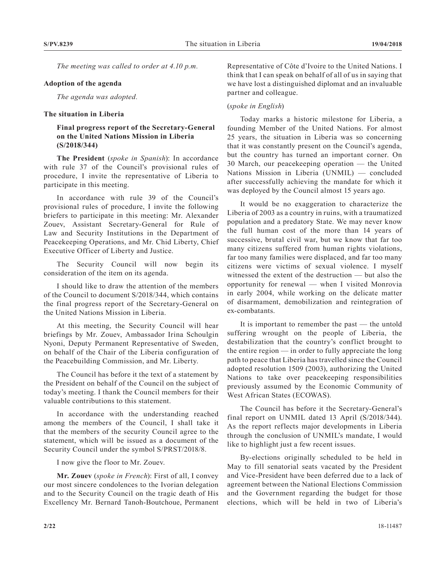*The meeting was called to order at 4.10 p.m.*

# **Adoption of the agenda**

*The agenda was adopted.*

### **The situation in Liberia**

# **Final progress report of the Secretary-General on the United Nations Mission in Liberia (S/2018/344)**

**The President** (*spoke in Spanish*): In accordance with rule 37 of the Council's provisional rules of procedure, I invite the representative of Liberia to participate in this meeting.

In accordance with rule 39 of the Council's provisional rules of procedure, I invite the following briefers to participate in this meeting: Mr. Alexander Zouev, Assistant Secretary-General for Rule of Law and Security Institutions in the Department of Peacekeeping Operations, and Mr. Chid Liberty, Chief Executive Officer of Liberty and Justice.

The Security Council will now begin its consideration of the item on its agenda.

I should like to draw the attention of the members of the Council to document S/2018/344, which contains the final progress report of the Secretary-General on the United Nations Mission in Liberia.

At this meeting, the Security Council will hear briefings by Mr. Zouev, Ambassador Irina Schoulgin Nyoni, Deputy Permanent Representative of Sweden, on behalf of the Chair of the Liberia configuration of the Peacebuilding Commission, and Mr. Liberty.

The Council has before it the text of a statement by the President on behalf of the Council on the subject of today's meeting. I thank the Council members for their valuable contributions to this statement.

In accordance with the understanding reached among the members of the Council, I shall take it that the members of the security Council agree to the statement, which will be issued as a document of the Security Council under the symbol S/PRST/2018/8.

I now give the floor to Mr. Zouev.

**Mr. Zouev** (*spoke in French*): First of all, I convey our most sincere condolences to the Ivorian delegation and to the Security Council on the tragic death of His Excellency Mr. Bernard Tanoh-Boutchoue, Permanent

Representative of Côte d'Ivoire to the United Nations. I think that I can speak on behalf of all of us in saying that we have lost a distinguished diplomat and an invaluable partner and colleague.

### (*spoke in English*)

Today marks a historic milestone for Liberia, a founding Member of the United Nations. For almost 25 years, the situation in Liberia was so concerning that it was constantly present on the Council's agenda, but the country has turned an important corner. On 30 March, our peacekeeping operation — the United Nations Mission in Liberia (UNMIL) — concluded after successfully achieving the mandate for which it was deployed by the Council almost 15 years ago.

It would be no exaggeration to characterize the Liberia of 2003 as a country in ruins, with a traumatized population and a predatory State. We may never know the full human cost of the more than 14 years of successive, brutal civil war, but we know that far too many citizens suffered from human rights violations, far too many families were displaced, and far too many citizens were victims of sexual violence. I myself witnessed the extent of the destruction — but also the opportunity for renewal — when I visited Monrovia in early 2004, while working on the delicate matter of disarmament, demobilization and reintegration of ex-combatants.

It is important to remember the past — the untold suffering wrought on the people of Liberia, the destabilization that the country's conflict brought to the entire region — in order to fully appreciate the long path to peace that Liberia has travelled since the Council adopted resolution 1509 (2003), authorizing the United Nations to take over peacekeeping responsibilities previously assumed by the Economic Community of West African States (ECOWAS).

The Council has before it the Secretary-General's final report on UNMIL dated 13 April (S/2018/344). As the report reflects major developments in Liberia through the conclusion of UNMIL's mandate, I would like to highlight just a few recent issues.

By-elections originally scheduled to be held in May to fill senatorial seats vacated by the President and Vice-President have been deferred due to a lack of agreement between the National Elections Commission and the Government regarding the budget for those elections, which will be held in two of Liberia's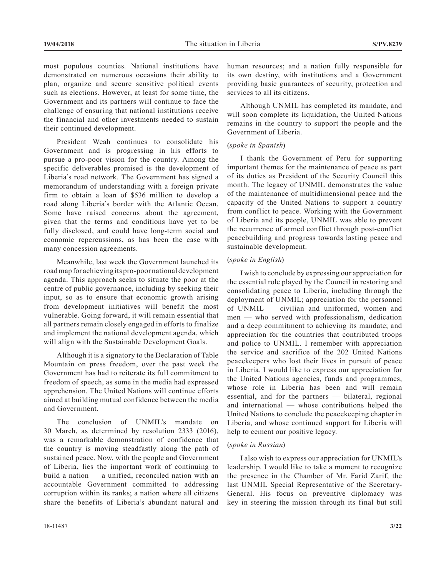most populous counties. National institutions have demonstrated on numerous occasions their ability to plan, organize and secure sensitive political events such as elections. However, at least for some time, the Government and its partners will continue to face the challenge of ensuring that national institutions receive the financial and other investments needed to sustain their continued development.

President Weah continues to consolidate his Government and is progressing in his efforts to pursue a pro-poor vision for the country. Among the specific deliverables promised is the development of Liberia's road network. The Government has signed a memorandum of understanding with a foreign private firm to obtain a loan of \$536 million to develop a road along Liberia's border with the Atlantic Ocean. Some have raised concerns about the agreement, given that the terms and conditions have yet to be fully disclosed, and could have long-term social and economic repercussions, as has been the case with many concession agreements.

Meanwhile, last week the Government launched its road map for achieving its pro-poor national development agenda. This approach seeks to situate the poor at the centre of public governance, including by seeking their input, so as to ensure that economic growth arising from development initiatives will benefit the most vulnerable. Going forward, it will remain essential that all partners remain closely engaged in efforts to finalize and implement the national development agenda, which will align with the Sustainable Development Goals.

Although it is a signatory to the Declaration of Table Mountain on press freedom, over the past week the Government has had to reiterate its full commitment to freedom of speech, as some in the media had expressed apprehension. The United Nations will continue efforts aimed at building mutual confidence between the media and Government.

The conclusion of UNMIL's mandate on 30 March, as determined by resolution 2333 (2016), was a remarkable demonstration of confidence that the country is moving steadfastly along the path of sustained peace. Now, with the people and Government of Liberia, lies the important work of continuing to build a nation — a unified, reconciled nation with an accountable Government committed to addressing corruption within its ranks; a nation where all citizens share the benefits of Liberia's abundant natural and

human resources; and a nation fully responsible for its own destiny, with institutions and a Government providing basic guarantees of security, protection and services to all its citizens.

Although UNMIL has completed its mandate, and will soon complete its liquidation, the United Nations remains in the country to support the people and the Government of Liberia.

# (*spoke in Spanish*)

I thank the Government of Peru for supporting important themes for the maintenance of peace as part of its duties as President of the Security Council this month. The legacy of UNMIL demonstrates the value of the maintenance of multidimensional peace and the capacity of the United Nations to support a country from conflict to peace. Working with the Government of Liberia and its people, UNMIL was able to prevent the recurrence of armed conflict through post-conflict peacebuilding and progress towards lasting peace and sustainable development.

# (*spoke in English*)

I wish to conclude by expressing our appreciation for the essential role played by the Council in restoring and consolidating peace to Liberia, including through the deployment of UNMIL; appreciation for the personnel of UNMIL — civilian and uniformed, women and men — who served with professionalism, dedication and a deep commitment to achieving its mandate; and appreciation for the countries that contributed troops and police to UNMIL. I remember with appreciation the service and sacrifice of the 202 United Nations peacekeepers who lost their lives in pursuit of peace in Liberia. I would like to express our appreciation for the United Nations agencies, funds and programmes, whose role in Liberia has been and will remain essential, and for the partners — bilateral, regional and international — whose contributions helped the United Nations to conclude the peacekeeping chapter in Liberia, and whose continued support for Liberia will help to cement our positive legacy.

## (*spoke in Russian*)

I also wish to express our appreciation for UNMIL's leadership. I would like to take a moment to recognize the presence in the Chamber of Mr. Farid Zarif, the last UNMIL Special Representative of the Secretary-General. His focus on preventive diplomacy was key in steering the mission through its final but still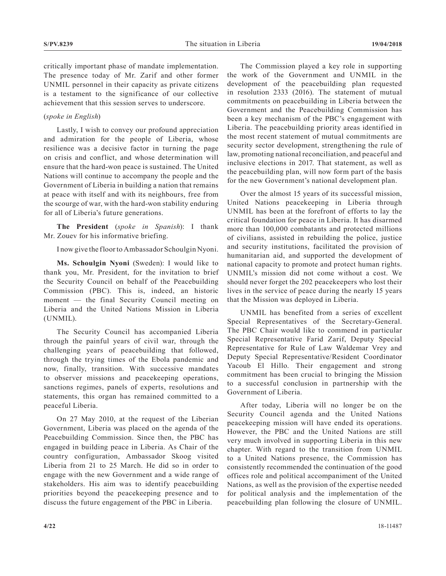critically important phase of mandate implementation. The presence today of Mr. Zarif and other former UNMIL personnel in their capacity as private citizens is a testament to the significance of our collective achievement that this session serves to underscore.

# (*spoke in English*)

Lastly, I wish to convey our profound appreciation and admiration for the people of Liberia, whose resilience was a decisive factor in turning the page on crisis and conflict, and whose determination will ensure that the hard-won peace is sustained. The United Nations will continue to accompany the people and the Government of Liberia in building a nation that remains at peace with itself and with its neighbours, free from the scourge of war, with the hard-won stability enduring for all of Liberia's future generations.

**The President** (*spoke in Spanish*): I thank Mr. Zouev for his informative briefing.

I now give the floor to Ambassador Schoulgin Nyoni.

**Ms. Schoulgin Nyoni** (Sweden): I would like to thank you, Mr. President, for the invitation to brief the Security Council on behalf of the Peacebuilding Commission (PBC). This is, indeed, an historic moment — the final Security Council meeting on Liberia and the United Nations Mission in Liberia (UNMIL).

The Security Council has accompanied Liberia through the painful years of civil war, through the challenging years of peacebuilding that followed, through the trying times of the Ebola pandemic and now, finally, transition. With successive mandates to observer missions and peacekeeping operations, sanctions regimes, panels of experts, resolutions and statements, this organ has remained committed to a peaceful Liberia.

On 27 May 2010, at the request of the Liberian Government, Liberia was placed on the agenda of the Peacebuilding Commission. Since then, the PBC has engaged in building peace in Liberia. As Chair of the country configuration, Ambassador Skoog visited Liberia from 21 to 25 March. He did so in order to engage with the new Government and a wide range of stakeholders. His aim was to identify peacebuilding priorities beyond the peacekeeping presence and to discuss the future engagement of the PBC in Liberia.

The Commission played a key role in supporting the work of the Government and UNMIL in the development of the peacebuilding plan requested in resolution 2333 (2016). The statement of mutual commitments on peacebuilding in Liberia between the Government and the Peacebuilding Commission has been a key mechanism of the PBC's engagement with Liberia. The peacebuilding priority areas identified in the most recent statement of mutual commitments are security sector development, strengthening the rule of law, promoting national reconciliation, and peaceful and inclusive elections in 2017. That statement, as well as the peacebuilding plan, will now form part of the basis for the new Government's national development plan.

Over the almost 15 years of its successful mission, United Nations peacekeeping in Liberia through UNMIL has been at the forefront of efforts to lay the critical foundation for peace in Liberia. It has disarmed more than 100,000 combatants and protected millions of civilians, assisted in rebuilding the police, justice and security institutions, facilitated the provision of humanitarian aid, and supported the development of national capacity to promote and protect human rights. UNMIL's mission did not come without a cost. We should never forget the 202 peacekeepers who lost their lives in the service of peace during the nearly 15 years that the Mission was deployed in Liberia.

UNMIL has benefited from a series of excellent Special Representatives of the Secretary-General. The PBC Chair would like to commend in particular Special Representative Farid Zarif, Deputy Special Representative for Rule of Law Waldemar Vrey and Deputy Special Representative/Resident Coordinator Yacoub El Hillo. Their engagement and strong commitment has been crucial to bringing the Mission to a successful conclusion in partnership with the Government of Liberia.

After today, Liberia will no longer be on the Security Council agenda and the United Nations peacekeeping mission will have ended its operations. However, the PBC and the United Nations are still very much involved in supporting Liberia in this new chapter. With regard to the transition from UNMIL to a United Nations presence, the Commission has consistently recommended the continuation of the good offices role and political accompaniment of the United Nations, as well as the provision of the expertise needed for political analysis and the implementation of the peacebuilding plan following the closure of UNMIL.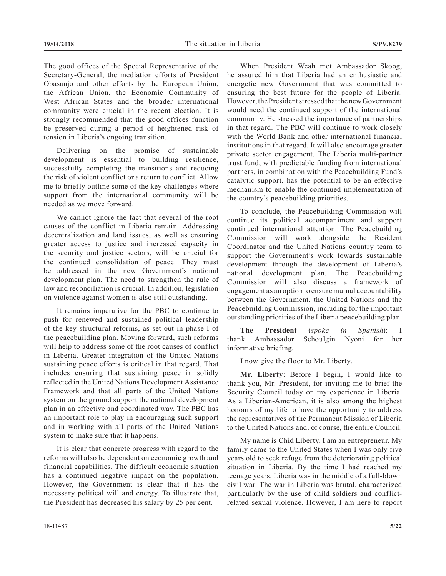The good offices of the Special Representative of the Secretary-General, the mediation efforts of President Obasanjo and other efforts by the European Union, the African Union, the Economic Community of West African States and the broader international community were crucial in the recent election. It is strongly recommended that the good offices function be preserved during a period of heightened risk of tension in Liberia's ongoing transition.

Delivering on the promise of sustainable development is essential to building resilience, successfully completing the transitions and reducing the risk of violent conflict or a return to conflict. Allow me to briefly outline some of the key challenges where support from the international community will be needed as we move forward.

We cannot ignore the fact that several of the root causes of the conflict in Liberia remain. Addressing decentralization and land issues, as well as ensuring greater access to justice and increased capacity in the security and justice sectors, will be crucial for the continued consolidation of peace. They must be addressed in the new Government's national development plan. The need to strengthen the rule of law and reconciliation is crucial. In addition, legislation on violence against women is also still outstanding.

It remains imperative for the PBC to continue to push for renewed and sustained political leadership of the key structural reforms, as set out in phase I of the peacebuilding plan. Moving forward, such reforms will help to address some of the root causes of conflict in Liberia. Greater integration of the United Nations sustaining peace efforts is critical in that regard. That includes ensuring that sustaining peace in solidly reflected in the United Nations Development Assistance Framework and that all parts of the United Nations system on the ground support the national development plan in an effective and coordinated way. The PBC has an important role to play in encouraging such support and in working with all parts of the United Nations system to make sure that it happens.

It is clear that concrete progress with regard to the reforms will also be dependent on economic growth and financial capabilities. The difficult economic situation has a continued negative impact on the population. However, the Government is clear that it has the necessary political will and energy. To illustrate that, the President has decreased his salary by 25 per cent.

When President Weah met Ambassador Skoog, he assured him that Liberia had an enthusiastic and energetic new Government that was committed to ensuring the best future for the people of Liberia. However, the President stressed that the new Government would need the continued support of the international community. He stressed the importance of partnerships in that regard. The PBC will continue to work closely with the World Bank and other international financial institutions in that regard. It will also encourage greater private sector engagement. The Liberia multi-partner trust fund, with predictable funding from international partners, in combination with the Peacebuilding Fund's catalytic support, has the potential to be an effective mechanism to enable the continued implementation of the country's peacebuilding priorities.

To conclude, the Peacebuilding Commission will continue its political accompaniment and support continued international attention. The Peacebuilding Commission will work alongside the Resident Coordinator and the United Nations country team to support the Government's work towards sustainable development through the development of Liberia's national development plan. The Peacebuilding Commission will also discuss a framework of engagement as an option to ensure mutual accountability between the Government, the United Nations and the Peacebuilding Commission, including for the important outstanding priorities of the Liberia peacebuilding plan.

**The President** (*spoke in Spanish*): I thank Ambassador Schoulgin Nyoni for her informative briefing.

I now give the floor to Mr. Liberty.

**Mr. Liberty**: Before I begin, I would like to thank you, Mr. President, for inviting me to brief the Security Council today on my experience in Liberia. As a Liberian-American, it is also among the highest honours of my life to have the opportunity to address the representatives of the Permanent Mission of Liberia to the United Nations and, of course, the entire Council.

My name is Chid Liberty. I am an entrepreneur. My family came to the United States when I was only five years old to seek refuge from the deteriorating political situation in Liberia. By the time I had reached my teenage years, Liberia was in the middle of a full-blown civil war. The war in Liberia was brutal, characterized particularly by the use of child soldiers and conflictrelated sexual violence. However, I am here to report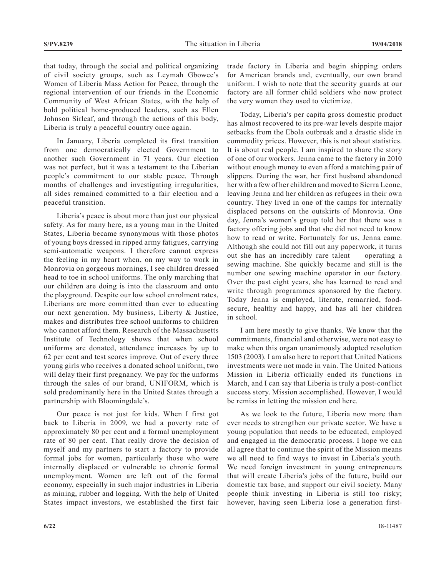that today, through the social and political organizing of civil society groups, such as Leymah Gbowee's Women of Liberia Mass Action for Peace, through the regional intervention of our friends in the Economic Community of West African States, with the help of bold political home-produced leaders, such as Ellen Johnson Sirleaf, and through the actions of this body, Liberia is truly a peaceful country once again.

In January, Liberia completed its first transition from one democratically elected Government to another such Government in 71 years. Our election was not perfect, but it was a testament to the Liberian people's commitment to our stable peace. Through months of challenges and investigating irregularities, all sides remained committed to a fair election and a peaceful transition.

Liberia's peace is about more than just our physical safety. As for many here, as a young man in the United States, Liberia became synonymous with those photos of young boys dressed in ripped army fatigues, carrying semi-automatic weapons. I therefore cannot express the feeling in my heart when, on my way to work in Monrovia on gorgeous mornings, I see children dressed head to toe in school uniforms. The only marching that our children are doing is into the classroom and onto the playground. Despite our low school enrolment rates, Liberians are more committed than ever to educating our next generation. My business, Liberty & Justice, makes and distributes free school uniforms to children who cannot afford them. Research of the Massachusetts Institute of Technology shows that when school uniforms are donated, attendance increases by up to 62 per cent and test scores improve. Out of every three young girls who receives a donated school uniform, two will delay their first pregnancy. We pay for the unforms through the sales of our brand, UNIFORM, which is sold predominantly here in the United States through a partnership with Bloomingdale's.

Our peace is not just for kids. When I first got back to Liberia in 2009, we had a poverty rate of approximately 80 per cent and a formal unemployment rate of 80 per cent. That really drove the decision of myself and my partners to start a factory to provide formal jobs for women, particularly those who were internally displaced or vulnerable to chronic formal unemployment. Women are left out of the formal economy, especially in such major industries in Liberia as mining, rubber and logging. With the help of United States impact investors, we established the first fair

trade factory in Liberia and begin shipping orders for American brands and, eventually, our own brand uniform. I wish to note that the security guards at our factory are all former child soldiers who now protect the very women they used to victimize.

Today, Liberia's per capita gross domestic product has almost recovered to its pre-war levels despite major setbacks from the Ebola outbreak and a drastic slide in commodity prices. However, this is not about statistics. It is about real people. I am inspired to share the story of one of our workers. Jenna came to the factory in 2010 without enough money to even afford a matching pair of slippers. During the war, her first husband abandoned her with a few of her children and moved to Sierra Leone, leaving Jenna and her children as refugees in their own country. They lived in one of the camps for internally displaced persons on the outskirts of Monrovia. One day, Jenna's women's group told her that there was a factory offering jobs and that she did not need to know how to read or write. Fortunately for us, Jenna came. Although she could not fill out any paperwork, it turns out she has an incredibly rare talent — operating a sewing machine. She quickly became and still is the number one sewing machine operator in our factory. Over the past eight years, she has learned to read and write through programmes sponsored by the factory. Today Jenna is employed, literate, remarried, foodsecure, healthy and happy, and has all her children in school.

I am here mostly to give thanks. We know that the commitments, financial and otherwise, were not easy to make when this organ unanimously adopted resolution 1503 (2003). I am also here to report that United Nations investments were not made in vain. The United Nations Mission in Liberia officially ended its functions in March, and I can say that Liberia is truly a post-conflict success story. Mission accomplished. However, I would be remiss in letting the mission end here.

As we look to the future, Liberia now more than ever needs to strengthen our private sector. We have a young population that needs to be educated, employed and engaged in the democratic process. I hope we can all agree that to continue the spirit of the Mission means we all need to find ways to invest in Liberia's youth. We need foreign investment in young entrepreneurs that will create Liberia's jobs of the future, build our domestic tax base, and support our civil society. Many people think investing in Liberia is still too risky; however, having seen Liberia lose a generation first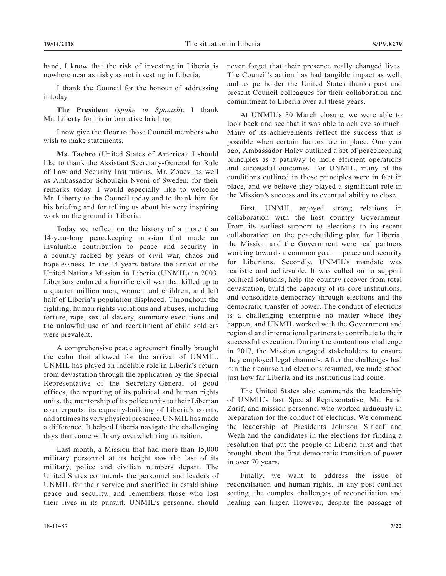hand, I know that the risk of investing in Liberia is nowhere near as risky as not investing in Liberia.

I thank the Council for the honour of addressing it today.

**The President** (*spoke in Spanish*): I thank Mr. Liberty for his informative briefing.

I now give the floor to those Council members who wish to make statements.

**Ms. Tachco** (United States of America): I should like to thank the Assistant Secretary-General for Rule of Law and Security Institutions, Mr. Zouev, as well as Ambassador Schoulgin Nyoni of Sweden, for their remarks today. I would especially like to welcome Mr. Liberty to the Council today and to thank him for his briefing and for telling us about his very inspiring work on the ground in Liberia.

Today we reflect on the history of a more than 14-year-long peacekeeping mission that made an invaluable contribution to peace and security in a country racked by years of civil war, chaos and hopelessness. In the 14 years before the arrival of the United Nations Mission in Liberia (UNMIL) in 2003, Liberians endured a horrific civil war that killed up to a quarter million men, women and children, and left half of Liberia's population displaced. Throughout the fighting, human rights violations and abuses, including torture, rape, sexual slavery, summary executions and the unlawful use of and recruitment of child soldiers were prevalent.

A comprehensive peace agreement finally brought the calm that allowed for the arrival of UNMIL. UNMIL has played an indelible role in Liberia's return from devastation through the application by the Special Representative of the Secretary-General of good offices, the reporting of its political and human rights units, the mentorship of its police units to their Liberian counterparts, its capacity-building of Liberia's courts, and at times its very physical presence. UNMIL has made a difference. It helped Liberia navigate the challenging days that come with any overwhelming transition.

Last month, a Mission that had more than 15,000 military personnel at its height saw the last of its military, police and civilian numbers depart. The United States commends the personnel and leaders of UNMIL for their service and sacrifice in establishing peace and security, and remembers those who lost their lives in its pursuit. UNMIL's personnel should

never forget that their presence really changed lives. The Council's action has had tangible impact as well, and as penholder the United States thanks past and present Council colleagues for their collaboration and commitment to Liberia over all these years.

At UNMIL's 30 March closure, we were able to look back and see that it was able to achieve so much. Many of its achievements reflect the success that is possible when certain factors are in place. One year ago, Ambassador Haley outlined a set of peacekeeping principles as a pathway to more efficient operations and successful outcomes. For UNMIL, many of the conditions outlined in those principles were in fact in place, and we believe they played a significant role in the Mission's success and its eventual ability to close.

First, UNMIL enjoyed strong relations in collaboration with the host country Government. From its earliest support to elections to its recent collaboration on the peacebuilding plan for Liberia, the Mission and the Government were real partners working towards a common goal — peace and security for Liberians. Secondly, UNMIL's mandate was realistic and achievable. It was called on to support political solutions, help the country recover from total devastation, build the capacity of its core institutions, and consolidate democracy through elections and the democratic transfer of power. The conduct of elections is a challenging enterprise no matter where they happen, and UNMIL worked with the Government and regional and international partners to contribute to their successful execution. During the contentious challenge in 2017, the Mission engaged stakeholders to ensure they employed legal channels. After the challenges had run their course and elections resumed, we understood just how far Liberia and its institutions had come.

The United States also commends the leadership of UNMIL's last Special Representative, Mr. Farid Zarif, and mission personnel who worked arduously in preparation for the conduct of elections. We commend the leadership of Presidents Johnson Sirleaf and Weah and the candidates in the elections for finding a resolution that put the people of Liberia first and that brought about the first democratic transition of power in over 70 years.

Finally, we want to address the issue of reconciliation and human rights. In any post-conflict setting, the complex challenges of reconciliation and healing can linger. However, despite the passage of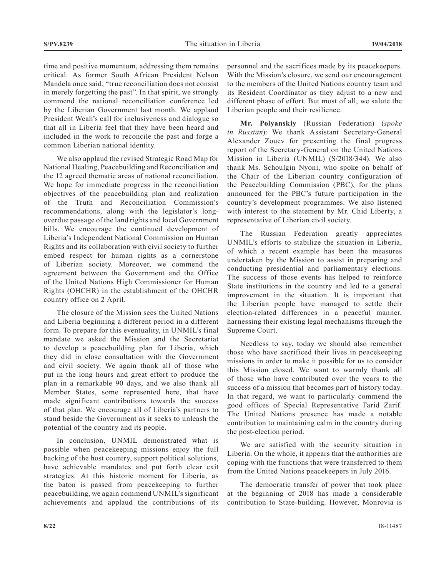time and positive momentum, addressing them remains critical. As former South African President Nelson Mandela once said, "true reconciliation does not consist in merely forgetting the past". In that spirit, we strongly commend the national reconciliation conference led by the Liberian Government last month. We applaud President Weah's call for inclusiveness and dialogue so that all in Liberia feel that they have been heard and included in the work to reconcile the past and forge a common Liberian national identity.

We also applaud the revised Strategic Road Map for National Healing, Peacebuilding and Reconciliation and the 12 agreed thematic areas of national reconciliation. We hope for immediate progress in the reconciliation objectives of the peacebuilding plan and realization of the Truth and Reconciliation Commission's recommendations, along with the legislator's longoverdue passage of the land rights and local Government bills. We encourage the continued development of Liberia's Independent National Commission on Human Rights and its collaboration with civil society to further embed respect for human rights as a cornerstone of Liberian society. Moreover, we commend the agreement between the Government and the Office of the United Nations High Commissioner for Human Rights (OHCHR) in the establishment of the OHCHR country office on 2 April.

The closure of the Mission sees the United Nations and Liberia beginning a different period in a different form. To prepare for this eventuality, in UNMIL's final mandate we asked the Mission and the Secretariat to develop a peacebuilding plan for Liberia, which they did in close consultation with the Government and civil society. We again thank all of those who put in the long hours and great effort to produce the plan in a remarkable 90 days, and we also thank all Member States, some represented here, that have made significant contributions towards the success of that plan. We encourage all of Liberia's partners to stand beside the Government as it seeks to unleash the potential of the country and its people.

In conclusion, UNMIL demonstrated what is possible when peacekeeping missions enjoy the full backing of the host country, support political solutions, have achievable mandates and put forth clear exit strategies. At this historic moment for Liberia, as the baton is passed from peacekeeping to further peacebuilding, we again commend UNMIL's significant achievements and applaud the contributions of its

personnel and the sacrifices made by its peacekeepers. With the Mission's closure, we send our encouragement to the members of the United Nations country team and its Resident Coordinator as they adjust to a new and different phase of effort. But most of all, we salute the Liberian people and their resilience.

**Mr. Polyanskiy** (Russian Federation) (*spoke in Russian*): We thank Assistant Secretary-General Alexander Zouev for presenting the final progress report of the Secretary-General on the United Nations Mission in Liberia (UNMIL) (S/2018/344). We also thank Ms. Schoulgin Nyoni, who spoke on behalf of the Chair of the Liberian country configuration of the Peacebuilding Commission (PBC), for the plans announced for the PBC's future participation in the country's development programmes. We also listened with interest to the statement by Mr. Chid Liberty, a representative of Liberian civil society.

The Russian Federation greatly appreciates UNMIL's efforts to stabilize the situation in Liberia, of which a recent example has been the measures undertaken by the Mission to assist in preparing and conducting presidential and parliamentary elections. The success of those events has helped to reinforce State institutions in the country and led to a general improvement in the situation. It is important that the Liberian people have managed to settle their election-related differences in a peaceful manner, harnessing their existing legal mechanisms through the Supreme Court.

Needless to say, today we should also remember those who have sacrificed their lives in peacekeeping missions in order to make it possible for us to consider this Mission closed. We want to warmly thank all of those who have contributed over the years to the success of a mission that becomes part of history today. In that regard, we want to particularly commend the good offices of Special Representative Farid Zarif. The United Nations presence has made a notable contribution to maintaining calm in the country during the post-election period.

We are satisfied with the security situation in Liberia. On the whole, it appears that the authorities are coping with the functions that were transferred to them from the United Nations peacekeepers in July 2016.

The democratic transfer of power that took place at the beginning of 2018 has made a considerable contribution to State-building. However, Monrovia is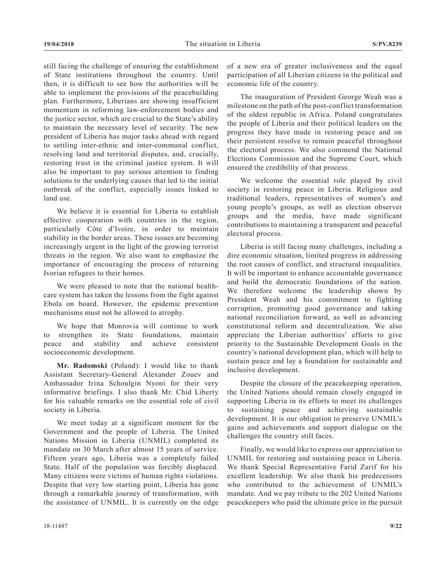still facing the challenge of ensuring the establishment of State institutions throughout the country. Until then, it is difficult to see how the authorities will be able to implement the provisions of the peacebuilding plan. Furthermore, Liberians are showing insufficient momentum in reforming law-enforcement bodies and the justice sector, which are crucial to the State's ability to maintain the necessary level of security. The new president of Liberia has major tasks ahead with regard to settling inter-ethnic and inter-communal conflict, resolving land and territorial disputes, and, crucially, restoring trust in the criminal justice system. It will also be important to pay serious attention to finding solutions to the underlying causes that led to the initial outbreak of the conflict, especially issues linked to land use.

We believe it is essential for Liberia to establish effective cooperation with countries in the region, particularly Côte d'Ivoire, in order to maintain stability in the border areas. These issues are becoming increasingly urgent in the light of the growing terrorist threats in the region. We also want to emphasize the importance of encouraging the process of returning Ivorian refugees to their homes.

We were pleased to note that the national healthcare system has taken the lessons from the fight against Ebola on board. However, the epidemic prevention mechanisms must not be allowed to atrophy.

We hope that Monrovia will continue to work to strengthen its State foundations, maintain peace and stability and achieve consistent socioeconomic development.

**Mr. Radomski** (Poland): I would like to thank Assistant Secretary-General Alexander Zouev and Ambassador Irina Schoulgin Nyoni for their very informative briefings. I also thank Mr. Chid Liberty for his valuable remarks on the essential role of civil society in Liberia.

We meet today at a significant moment for the Government and the people of Liberia. The United Nations Mission in Liberia (UNMIL) completed its mandate on 30 March after almost 15 years of service. Fifteen years ago, Liberia was a completely failed State. Half of the population was forcibly displaced. Many citizens were victims of human rights violations. Despite that very low starting point, Liberia has gone through a remarkable journey of transformation, with the assistance of UNMIL. It is currently on the edge

The inauguration of President George Weah was a milestone on the path of the post-conflict transformation of the oldest republic in Africa. Poland congratulates the people of Liberia and their political leaders on the progress they have made in restoring peace and on their persistent resolve to remain peaceful throughout the electoral process. We also commend the National Elections Commission and the Supreme Court, which ensured the credibility of that process.

We welcome the essential role played by civil society in restoring peace in Liberia. Religious and traditional leaders, representatives of women's and young people's groups, as well as election observer groups and the media, have made significant contributions to maintaining a transparent and peaceful electoral process.

Liberia is still facing many challenges, including a dire economic situation, limited progress in addressing the root causes of conflict, and structural inequalities. It will be important to enhance accountable governance and build the democratic foundations of the nation. We therefore welcome the leadership shown by President Weah and his commitment to fighting corruption, promoting good governance and taking national reconciliation forward, as well as advancing constitutional reform and decentralization. We also appreciate the Liberian authorities' efforts to give priority to the Sustainable Development Goals in the country's national development plan, which will help to sustain peace and lay a foundation for sustainable and inclusive development.

Despite the closure of the peacekeeping operation, the United Nations should remain closely engaged in supporting Liberia in its efforts to meet its challenges to sustaining peace and achieving sustainable development. It is our obligation to preserve UNMIL's gains and achievements and support dialogue on the challenges the country still faces.

Finally, we would like to express our appreciation to UNMIL for restoring and sustaining peace in Liberia. We thank Special Representative Farid Zarif for his excellent leadership. We also thank his predecessors who contributed to the achievement of UNMIL's mandate. And we pay tribute to the 202 United Nations peacekeepers who paid the ultimate price in the pursuit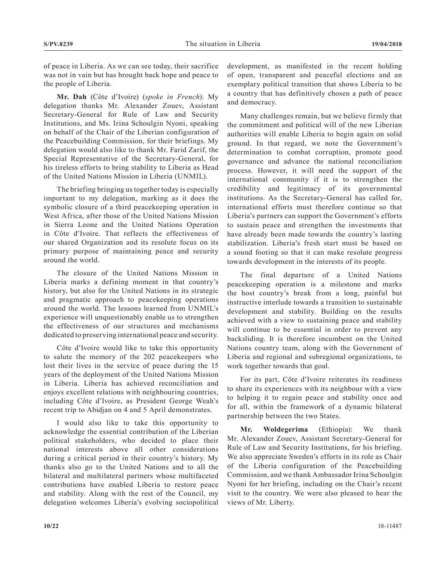of peace in Liberia. As we can see today, their sacrifice was not in vain but has brought back hope and peace to the people of Liberia.

**Mr. Dah** (Côte d'Ivoire) (*spoke in French*): My delegation thanks Mr. Alexander Zouev, Assistant Secretary-General for Rule of Law and Security Institutions, and Ms. Irina Schoulgin Nyoni, speaking on behalf of the Chair of the Liberian configuration of the Peacebuilding Commission, for their briefings. My delegation would also like to thank Mr. Farid Zarif, the Special Representative of the Secretary-General, for his tireless efforts to bring stability to Liberia as Head of the United Nations Mission in Liberia (UNMIL).

The briefing bringing us together today is especially important to my delegation, marking as it does the symbolic closure of a third peacekeeping operation in West Africa, after those of the United Nations Mission in Sierra Leone and the United Nations Operation in Côte d'Ivoire. That reflects the effectiveness of our shared Organization and its resolute focus on its primary purpose of maintaining peace and security around the world.

The closure of the United Nations Mission in Liberia marks a defining moment in that country's history, but also for the United Nations in its strategic and pragmatic approach to peacekeeping operations around the world. The lessons learned from UNMIL's experience will unquestionably enable us to strengthen the effectiveness of our structures and mechanisms dedicated to preserving international peace and security.

Côte d'Ivoire would like to take this opportunity to salute the memory of the 202 peacekeepers who lost their lives in the service of peace during the 15 years of the deployment of the United Nations Mission in Liberia. Liberia has achieved reconciliation and enjoys excellent relations with neighbouring countries, including Côte d'Ivoire, as President George Weah's recent trip to Abidjan on 4 and 5 April demonstrates.

I would also like to take this opportunity to acknowledge the essential contribution of the Liberian political stakeholders, who decided to place their national interests above all other considerations during a critical period in their country's history. My thanks also go to the United Nations and to all the bilateral and multilateral partners whose multifaceted contributions have enabled Liberia to restore peace and stability. Along with the rest of the Council, my delegation welcomes Liberia's evolving sociopolitical

development, as manifested in the recent holding of open, transparent and peaceful elections and an exemplary political transition that shows Liberia to be a country that has definitively chosen a path of peace and democracy.

Many challenges remain, but we believe firmly that the commitment and political will of the new Liberian authorities will enable Liberia to begin again on solid ground. In that regard, we note the Government's determination to combat corruption, promote good governance and advance the national reconciliation process. However, it will need the support of the international community if it is to strengthen the credibility and legitimacy of its governmental institutions. As the Secretary-General has called for, international efforts must therefore continue so that Liberia's partners can support the Government's efforts to sustain peace and strengthen the investments that have already been made towards the country's lasting stabilization. Liberia's fresh start must be based on a sound footing so that it can make resolute progress towards development in the interests of its people.

The final departure of a United Nations peacekeeping operation is a milestone and marks the host country's break from a long, painful but instructive interlude towards a transition to sustainable development and stability. Building on the results achieved with a view to sustaining peace and stability will continue to be essential in order to prevent any backsliding. It is therefore incumbent on the United Nations country team, along with the Government of Liberia and regional and subregional organizations, to work together towards that goal.

For its part, Côte d'Ivoire reiterates its readiness to share its experiences with its neighbour with a view to helping it to regain peace and stability once and for all, within the framework of a dynamic bilateral partnership between the two States.

**Mr. Woldegerima** (Ethiopia): We thank Mr. Alexander Zouev, Assistant Secretary-General for Rule of Law and Security Institutions, for his briefing. We also appreciate Sweden's efforts in its role as Chair of the Liberia configuration of the Peacebuilding Commission, and we thank Ambassador Irina Schoulgin Nyoni for her briefing, including on the Chair's recent visit to the country. We were also pleased to hear the views of Mr. Liberty.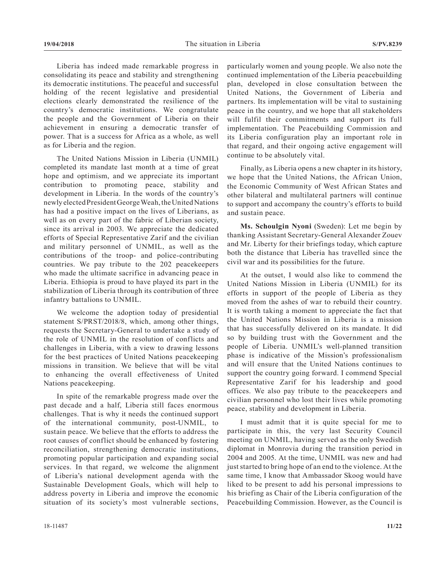Liberia has indeed made remarkable progress in consolidating its peace and stability and strengthening its democratic institutions. The peaceful and successful holding of the recent legislative and presidential elections clearly demonstrated the resilience of the country's democratic institutions. We congratulate the people and the Government of Liberia on their achievement in ensuring a democratic transfer of power. That is a success for Africa as a whole, as well as for Liberia and the region.

The United Nations Mission in Liberia (UNMIL) completed its mandate last month at a time of great hope and optimism, and we appreciate its important contribution to promoting peace, stability and development in Liberia. In the words of the country's newly elected President George Weah, the United Nations has had a positive impact on the lives of Liberians, as well as on every part of the fabric of Liberian society, since its arrival in 2003. We appreciate the dedicated efforts of Special Representative Zarif and the civilian and military personnel of UNMIL, as well as the contributions of the troop- and police-contributing countries. We pay tribute to the 202 peacekeepers who made the ultimate sacrifice in advancing peace in Liberia. Ethiopia is proud to have played its part in the stabilization of Liberia through its contribution of three infantry battalions to UNMIL.

We welcome the adoption today of presidential statement S/PRST/2018/8, which, among other things, requests the Secretary-General to undertake a study of the role of UNMIL in the resolution of conflicts and challenges in Liberia, with a view to drawing lessons for the best practices of United Nations peacekeeping missions in transition. We believe that will be vital to enhancing the overall effectiveness of United Nations peacekeeping.

In spite of the remarkable progress made over the past decade and a half, Liberia still faces enormous challenges. That is why it needs the continued support of the international community, post-UNMIL, to sustain peace. We believe that the efforts to address the root causes of conflict should be enhanced by fostering reconciliation, strengthening democratic institutions, promoting popular participation and expanding social services. In that regard, we welcome the alignment of Liberia's national development agenda with the Sustainable Development Goals, which will help to address poverty in Liberia and improve the economic situation of its society's most vulnerable sections, particularly women and young people. We also note the continued implementation of the Liberia peacebuilding plan, developed in close consultation between the United Nations, the Government of Liberia and partners. Its implementation will be vital to sustaining peace in the country, and we hope that all stakeholders will fulfil their commitments and support its full implementation. The Peacebuilding Commission and its Liberia configuration play an important role in that regard, and their ongoing active engagement will continue to be absolutely vital.

Finally, as Liberia opens a new chapter in its history, we hope that the United Nations, the African Union, the Economic Community of West African States and other bilateral and multilateral partners will continue to support and accompany the country's efforts to build and sustain peace.

**Ms. Schoulgin Nyoni** (Sweden): Let me begin by thanking Assistant Secretary-General Alexander Zouev and Mr. Liberty for their briefings today, which capture both the distance that Liberia has travelled since the civil war and its possibilities for the future.

At the outset, I would also like to commend the United Nations Mission in Liberia (UNMIL) for its efforts in support of the people of Liberia as they moved from the ashes of war to rebuild their country. It is worth taking a moment to appreciate the fact that the United Nations Mission in Liberia is a mission that has successfully delivered on its mandate. It did so by building trust with the Government and the people of Liberia. UNMIL's well-planned transition phase is indicative of the Mission's professionalism and will ensure that the United Nations continues to support the country going forward. I commend Special Representative Zarif for his leadership and good offices. We also pay tribute to the peacekeepers and civilian personnel who lost their lives while promoting peace, stability and development in Liberia.

I must admit that it is quite special for me to participate in this, the very last Security Council meeting on UNMIL, having served as the only Swedish diplomat in Monrovia during the transition period in 2004 and 2005. At the time, UNMIL was new and had just started to bring hope of an end to the violence. At the same time, I know that Ambassador Skoog would have liked to be present to add his personal impressions to his briefing as Chair of the Liberia configuration of the Peacebuilding Commission. However, as the Council is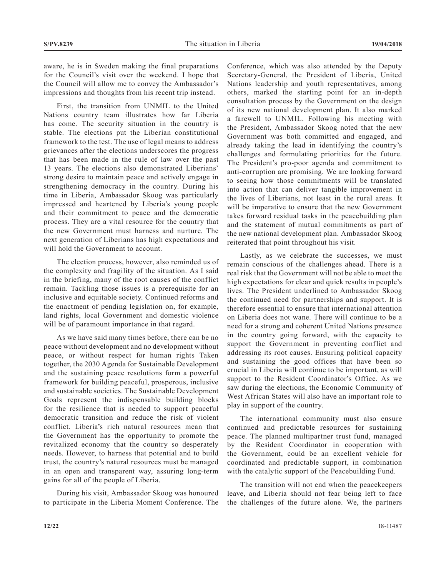aware, he is in Sweden making the final preparations for the Council's visit over the weekend. I hope that the Council will allow me to convey the Ambassador's impressions and thoughts from his recent trip instead.

First, the transition from UNMIL to the United Nations country team illustrates how far Liberia has come. The security situation in the country is stable. The elections put the Liberian constitutional framework to the test. The use of legal means to address grievances after the elections underscores the progress that has been made in the rule of law over the past 13 years. The elections also demonstrated Liberians' strong desire to maintain peace and actively engage in strengthening democracy in the country. During his time in Liberia, Ambassador Skoog was particularly impressed and heartened by Liberia's young people and their commitment to peace and the democratic process. They are a vital resource for the country that the new Government must harness and nurture. The next generation of Liberians has high expectations and will hold the Government to account.

The election process, however, also reminded us of the complexity and fragility of the situation. As I said in the briefing, many of the root causes of the conflict remain. Tackling those issues is a prerequisite for an inclusive and equitable society. Continued reforms and the enactment of pending legislation on, for example, land rights, local Government and domestic violence will be of paramount importance in that regard.

As we have said many times before, there can be no peace without development and no development without peace, or without respect for human rights Taken together, the 2030 Agenda for Sustainable Development and the sustaining peace resolutions form a powerful framework for building peaceful, prosperous, inclusive and sustainable societies. The Sustainable Development Goals represent the indispensable building blocks for the resilience that is needed to support peaceful democratic transition and reduce the risk of violent conflict. Liberia's rich natural resources mean that the Government has the opportunity to promote the revitalized economy that the country so desperately needs. However, to harness that potential and to build trust, the country's natural resources must be managed in an open and transparent way, assuring long-term gains for all of the people of Liberia.

During his visit, Ambassador Skoog was honoured to participate in the Liberia Moment Conference. The

Conference, which was also attended by the Deputy Secretary-General, the President of Liberia, United Nations leadership and youth representatives, among others, marked the starting point for an in-depth consultation process by the Government on the design of its new national development plan. It also marked a farewell to UNMIL. Following his meeting with the President, Ambassador Skoog noted that the new Government was both committed and engaged, and already taking the lead in identifying the country's challenges and formulating priorities for the future. The President's pro-poor agenda and commitment to anti-corruption are promising. We are looking forward to seeing how those commitments will be translated into action that can deliver tangible improvement in the lives of Liberians, not least in the rural areas. It will be imperative to ensure that the new Government takes forward residual tasks in the peacebuilding plan and the statement of mutual commitments as part of the new national development plan. Ambassador Skoog reiterated that point throughout his visit.

Lastly, as we celebrate the successes, we must remain conscious of the challenges ahead. There is a real risk that the Government will not be able to meet the high expectations for clear and quick results in people's lives. The President underlined to Ambassador Skoog the continued need for partnerships and support. It is therefore essential to ensure that international attention on Liberia does not wane. There will continue to be a need for a strong and coherent United Nations presence in the country going forward, with the capacity to support the Government in preventing conflict and addressing its root causes. Ensuring political capacity and sustaining the good offices that have been so crucial in Liberia will continue to be important, as will support to the Resident Coordinator's Office. As we saw during the elections, the Economic Community of West African States will also have an important role to play in support of the country.

The international community must also ensure continued and predictable resources for sustaining peace. The planned multipartner trust fund, managed by the Resident Coordinator in cooperation with the Government, could be an excellent vehicle for coordinated and predictable support, in combination with the catalytic support of the Peacebuilding Fund.

The transition will not end when the peacekeepers leave, and Liberia should not fear being left to face the challenges of the future alone. We, the partners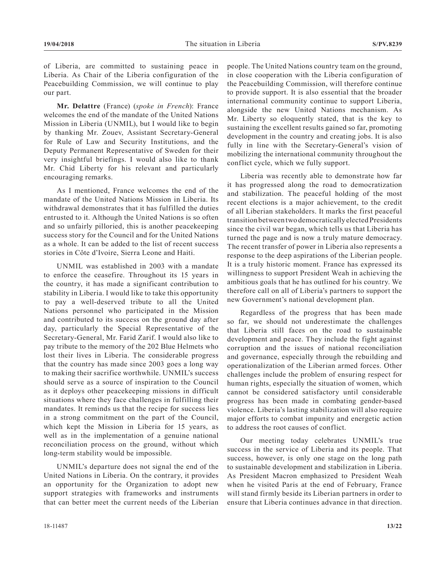of Liberia, are committed to sustaining peace in Liberia. As Chair of the Liberia configuration of the Peacebuilding Commission, we will continue to play our part.

**Mr. Delattre** (France) (*spoke in French*): France welcomes the end of the mandate of the United Nations Mission in Liberia (UNMIL), but I would like to begin by thanking Mr. Zouev, Assistant Secretary-General for Rule of Law and Security Institutions, and the Deputy Permanent Representative of Sweden for their very insightful briefings. I would also like to thank Mr. Chid Liberty for his relevant and particularly encouraging remarks.

As I mentioned, France welcomes the end of the mandate of the United Nations Mission in Liberia. Its withdrawal demonstrates that it has fulfilled the duties entrusted to it. Although the United Nations is so often and so unfairly pilloried, this is another peacekeeping success story for the Council and for the United Nations as a whole. It can be added to the list of recent success stories in Côte d'Ivoire, Sierra Leone and Haiti.

UNMIL was established in 2003 with a mandate to enforce the ceasefire. Throughout its 15 years in the country, it has made a significant contribution to stability in Liberia. I would like to take this opportunity to pay a well-deserved tribute to all the United Nations personnel who participated in the Mission and contributed to its success on the ground day after day, particularly the Special Representative of the Secretary-General, Mr. Farid Zarif. I would also like to pay tribute to the memory of the 202 Blue Helmets who lost their lives in Liberia. The considerable progress that the country has made since 2003 goes a long way to making their sacrifice worthwhile. UNMIL's success should serve as a source of inspiration to the Council as it deploys other peacekeeping missions in difficult situations where they face challenges in fulfilling their mandates. It reminds us that the recipe for success lies in a strong commitment on the part of the Council, which kept the Mission in Liberia for 15 years, as well as in the implementation of a genuine national reconciliation process on the ground, without which long-term stability would be impossible.

UNMIL's departure does not signal the end of the United Nations in Liberia. On the contrary, it provides an opportunity for the Organization to adopt new support strategies with frameworks and instruments that can better meet the current needs of the Liberian people. The United Nations country team on the ground, in close cooperation with the Liberia configuration of the Peacebuilding Commission, will therefore continue to provide support. It is also essential that the broader international community continue to support Liberia, alongside the new United Nations mechanism. As Mr. Liberty so eloquently stated, that is the key to sustaining the excellent results gained so far, promoting development in the country and creating jobs. It is also fully in line with the Secretary-General's vision of mobilizing the international community throughout the conflict cycle, which we fully support.

Liberia was recently able to demonstrate how far it has progressed along the road to democratization and stabilization. The peaceful holding of the most recent elections is a major achievement, to the credit of all Liberian stakeholders. It marks the first peaceful transition between two democratically elected Presidents since the civil war began, which tells us that Liberia has turned the page and is now a truly mature democracy. The recent transfer of power in Liberia also represents a response to the deep aspirations of the Liberian people. It is a truly historic moment. France has expressed its willingness to support President Weah in achieving the ambitious goals that he has outlined for his country. We therefore call on all of Liberia's partners to support the new Government's national development plan.

Regardless of the progress that has been made so far, we should not underestimate the challenges that Liberia still faces on the road to sustainable development and peace. They include the fight against corruption and the issues of national reconciliation and governance, especially through the rebuilding and operationalization of the Liberian armed forces. Other challenges include the problem of ensuring respect for human rights, especially the situation of women, which cannot be considered satisfactory until considerable progress has been made in combating gender-based violence. Liberia's lasting stabilization will also require major efforts to combat impunity and energetic action to address the root causes of conflict.

Our meeting today celebrates UNMIL's true success in the service of Liberia and its people. That success, however, is only one stage on the long path to sustainable development and stabilization in Liberia. As President Macron emphasized to President Weah when he visited Paris at the end of February, France will stand firmly beside its Liberian partners in order to ensure that Liberia continues advance in that direction.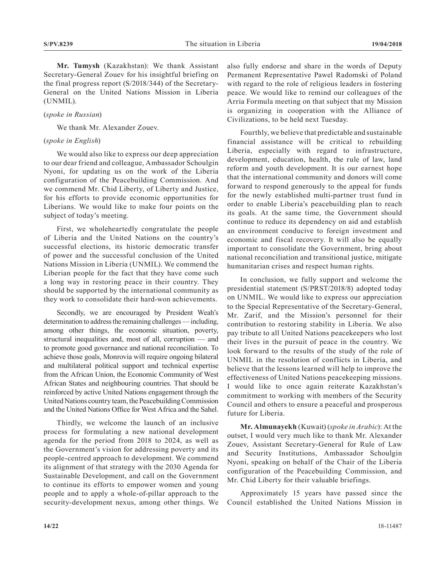**Mr. Tumysh** (Kazakhstan): We thank Assistant Secretary-General Zouev for his insightful briefing on the final progress report (S/2018/344) of the Secretary-General on the United Nations Mission in Liberia (UNMIL).

# (*spoke in Russian*)

We thank Mr. Alexander Zouev.

#### (*spoke in English*)

We would also like to express our deep appreciation to our dear friend and colleague, Ambassador Schoulgin Nyoni, for updating us on the work of the Liberia configuration of the Peacebuilding Commission. And we commend Mr. Chid Liberty, of Liberty and Justice, for his efforts to provide economic opportunities for Liberians. We would like to make four points on the subject of today's meeting.

First, we wholeheartedly congratulate the people of Liberia and the United Nations on the country's successful elections, its historic democratic transfer of power and the successful conclusion of the United Nations Mission in Liberia (UNMIL). We commend the Liberian people for the fact that they have come such a long way in restoring peace in their country. They should be supported by the international community as they work to consolidate their hard-won achievements.

Secondly, we are encouraged by President Weah's determination to address the remaining challenges — including, among other things, the economic situation, poverty, structural inequalities and, most of all, corruption — and to promote good governance and national reconciliation. To achieve those goals, Monrovia will require ongoing bilateral and multilateral political support and technical expertise from the African Union, the Economic Community of West African States and neighbouring countries. That should be reinforced by active United Nations engagement through the United Nations country team, the Peacebuilding Commission and the United Nations Office for West Africa and the Sahel.

Thirdly, we welcome the launch of an inclusive process for formulating a new national development agenda for the period from 2018 to 2024, as well as the Government's vision for addressing poverty and its people-centred approach to development. We commend its alignment of that strategy with the 2030 Agenda for Sustainable Development, and call on the Government to continue its efforts to empower women and young people and to apply a whole-of-pillar approach to the security-development nexus, among other things. We

also fully endorse and share in the words of Deputy Permanent Representative Pawel Radomski of Poland with regard to the role of religious leaders in fostering peace. We would like to remind our colleagues of the Arria Formula meeting on that subject that my Mission is organizing in cooperation with the Alliance of Civilizations, to be held next Tuesday.

Fourthly, we believe that predictable and sustainable financial assistance will be critical to rebuilding Liberia, especially with regard to infrastructure, development, education, health, the rule of law, land reform and youth development. It is our earnest hope that the international community and donors will come forward to respond generously to the appeal for funds for the newly established multi-partner trust fund in order to enable Liberia's peacebuilding plan to reach its goals. At the same time, the Government should continue to reduce its dependency on aid and establish an environment conducive to foreign investment and economic and fiscal recovery. It will also be equally important to consolidate the Government, bring about national reconciliation and transitional justice, mitigate humanitarian crises and respect human rights.

In conclusion, we fully support and welcome the presidential statement (S/PRST/2018/8) adopted today on UNMIL. We would like to express our appreciation to the Special Representative of the Secretary-General, Mr. Zarif, and the Mission's personnel for their contribution to restoring stability in Liberia. We also pay tribute to all United Nations peacekeepers who lost their lives in the pursuit of peace in the country. We look forward to the results of the study of the role of UNMIL in the resolution of conflicts in Liberia, and believe that the lessons learned will help to improve the effectiveness of United Nations peacekeeping missions. I would like to once again reiterate Kazakhstan's commitment to working with members of the Security Council and others to ensure a peaceful and prosperous future for Liberia.

**Mr. Almunayekh** (Kuwait) (*spoke in Arabic*): At the outset, I would very much like to thank Mr. Alexander Zouev, Assistant Secretary-General for Rule of Law and Security Institutions, Ambassador Schoulgin Nyoni, speaking on behalf of the Chair of the Liberia configuration of the Peacebuilding Commission, and Mr. Chid Liberty for their valuable briefings.

Approximately 15 years have passed since the Council established the United Nations Mission in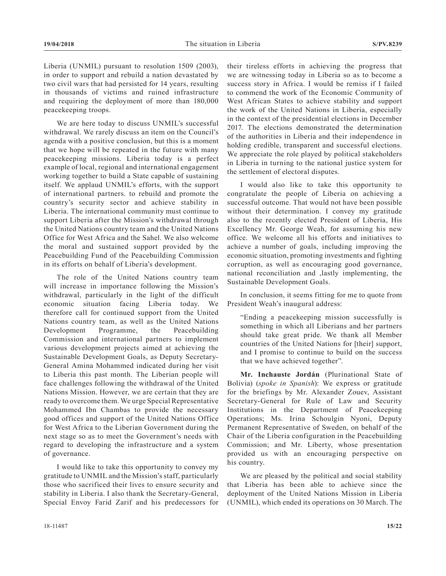Liberia (UNMIL) pursuant to resolution 1509 (2003), in order to support and rebuild a nation devastated by two civil wars that had persisted for 14 years, resulting in thousands of victims and ruined infrastructure and requiring the deployment of more than 180,000 peacekeeping troops.

We are here today to discuss UNMIL's successful withdrawal. We rarely discuss an item on the Council's agenda with a positive conclusion, but this is a moment that we hope will be repeated in the future with many peacekeeping missions. Liberia today is a perfect example of local, regional and international engagement working together to build a State capable of sustaining itself. We applaud UNMIL's efforts, with the support of international partners. to rebuild and promote the country's security sector and achieve stability in Liberia. The international community must continue to support Liberia after the Mission's withdrawal through the United Nations country team and the United Nations Office for West Africa and the Sahel. We also welcome the moral and sustained support provided by the Peacebuilding Fund of the Peacebuilding Commission in its efforts on behalf of Liberia's development.

The role of the United Nations country team will increase in importance following the Mission's withdrawal, particularly in the light of the difficult economic situation facing Liberia today. We therefore call for continued support from the United Nations country team, as well as the United Nations Development Programme, the Peacebuilding Commission and international partners to implement various development projects aimed at achieving the Sustainable Development Goals, as Deputy Secretary-General Amina Mohammed indicated during her visit to Liberia this past month. The Liberian people will face challenges following the withdrawal of the United Nations Mission. However, we are certain that they are ready to overcome them. We urge Special Representative Mohammed Ibn Chambas to provide the necessary good offices and support of the United Nations Office for West Africa to the Liberian Government during the next stage so as to meet the Government's needs with regard to developing the infrastructure and a system of governance.

I would like to take this opportunity to convey my gratitude to UNMIL and the Mission's staff, particularly those who sacrificed their lives to ensure security and stability in Liberia. I also thank the Secretary-General, Special Envoy Farid Zarif and his predecessors for their tireless efforts in achieving the progress that we are witnessing today in Liberia so as to become a success story in Africa. I would be remiss if I failed to commend the work of the Economic Community of West African States to achieve stability and support the work of the United Nations in Liberia, especially in the context of the presidential elections in December 2017. The elections demonstrated the determination of the authorities in Liberia and their independence in holding credible, transparent and successful elections. We appreciate the role played by political stakeholders in Liberia in turning to the national justice system for the settlement of electoral disputes.

I would also like to take this opportunity to congratulate the people of Liberia on achieving a successful outcome. That would not have been possible without their determination. I convey my gratitude also to the recently elected President of Liberia, His Excellency Mr. George Weah, for assuming his new office. We welcome all his efforts and initiatives to achieve a number of goals, including improving the economic situation, promoting investments and fighting corruption, as well as encouraging good governance, national reconciliation and ,lastly implementing, the Sustainable Development Goals.

In conclusion, it seems fitting for me to quote from President Weah's inaugural address:

"Ending a peacekeeping mission successfully is something in which all Liberians and her partners should take great pride. We thank all Member countries of the United Nations for [their] support, and I promise to continue to build on the success that we have achieved together".

**Mr. Inchauste Jordán** (Plurinational State of Bolivia) (*spoke in Spanish*): We express or gratitude for the briefings by Mr. Alexander Zouev, Assistant Secretary-General for Rule of Law and Security Institutions in the Department of Peacekeeping Operations; Ms. Irina Schoulgin Nyoni, Deputy Permanent Representative of Sweden, on behalf of the Chair of the Liberia configuration in the Peacebuilding Commission; and Mr. Liberty, whose presentation provided us with an encouraging perspective on his country.

We are pleased by the political and social stability that Liberia has been able to achieve since the deployment of the United Nations Mission in Liberia (UNMIL), which ended its operations on 30 March. The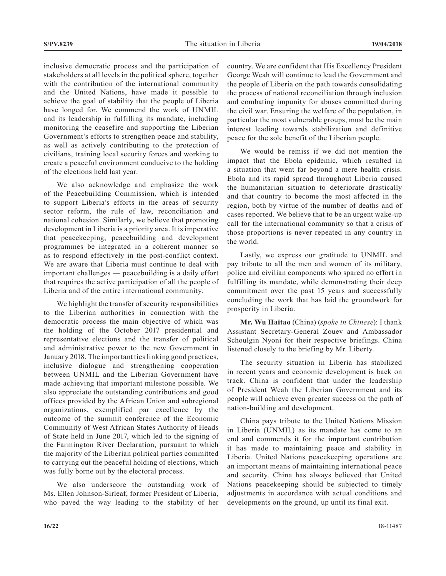inclusive democratic process and the participation of stakeholders at all levels in the political sphere, together with the contribution of the international community and the United Nations, have made it possible to achieve the goal of stability that the people of Liberia have longed for. We commend the work of UNMIL and its leadership in fulfilling its mandate, including monitoring the ceasefire and supporting the Liberian Government's efforts to strengthen peace and stability, as well as actively contributing to the protection of civilians, training local security forces and working to create a peaceful environment conducive to the holding of the elections held last year.

We also acknowledge and emphasize the work of the Peacebuilding Commission, which is intended to support Liberia's efforts in the areas of security sector reform, the rule of law, reconciliation and national cohesion. Similarly, we believe that promoting development in Liberia is a priority area. It is imperative that peacekeeping, peacebuilding and development programmes be integrated in a coherent manner so as to respond effectively in the post-conflict context. We are aware that Liberia must continue to deal with important challenges — peacebuilding is a daily effort that requires the active participation of all the people of Liberia and of the entire international community.

We highlight the transfer of security responsibilities to the Liberian authorities in connection with the democratic process the main objective of which was the holding of the October 2017 presidential and representative elections and the transfer of political and administrative power to the new Government in January 2018. The important ties linking good practices, inclusive dialogue and strengthening cooperation between UNMIL and the Liberian Government have made achieving that important milestone possible. We also appreciate the outstanding contributions and good offices provided by the African Union and subregional organizations, exemplified par excellence by the outcome of the summit conference of the Economic Community of West African States Authority of Heads of State held in June 2017, which led to the signing of the Farmington River Declaration, pursuant to which the majority of the Liberian political parties committed to carrying out the peaceful holding of elections, which was fully borne out by the electoral process.

We also underscore the outstanding work of Ms. Ellen Johnson-Sirleaf, former President of Liberia, who paved the way leading to the stability of her

country. We are confident that His Excellency President George Weah will continue to lead the Government and the people of Liberia on the path towards consolidating the process of national reconciliation through inclusion and combating impunity for abuses committed during the civil war. Ensuring the welfare of the population, in particular the most vulnerable groups, must be the main interest leading towards stabilization and definitive peace for the sole benefit of the Liberian people.

We would be remiss if we did not mention the impact that the Ebola epidemic, which resulted in a situation that went far beyond a mere health crisis. Ebola and its rapid spread throughout Liberia caused the humanitarian situation to deteriorate drastically and that country to become the most affected in the region, both by virtue of the number of deaths and of cases reported. We believe that to be an urgent wake-up call for the international community so that a crisis of those proportions is never repeated in any country in the world.

Lastly, we express our gratitude to UNMIL and pay tribute to all the men and women of its military, police and civilian components who spared no effort in fulfilling its mandate, while demonstrating their deep commitment over the past 15 years and successfully concluding the work that has laid the groundwork for prosperity in Liberia.

**Mr. Wu Haitao** (China) (*spoke in Chinese*): I thank Assistant Secretary-General Zouev and Ambassador Schoulgin Nyoni for their respective briefings. China listened closely to the briefing by Mr. Liberty.

The security situation in Liberia has stabilized in recent years and economic development is back on track. China is confident that under the leadership of President Weah the Liberian Government and its people will achieve even greater success on the path of nation-building and development.

China pays tribute to the United Nations Mission in Liberia (UNMIL) as its mandate has come to an end and commends it for the important contribution it has made to maintaining peace and stability in Liberia. United Nations peacekeeping operations are an important means of maintaining international peace and security. China has always believed that United Nations peacekeeping should be subjected to timely adjustments in accordance with actual conditions and developments on the ground, up until its final exit.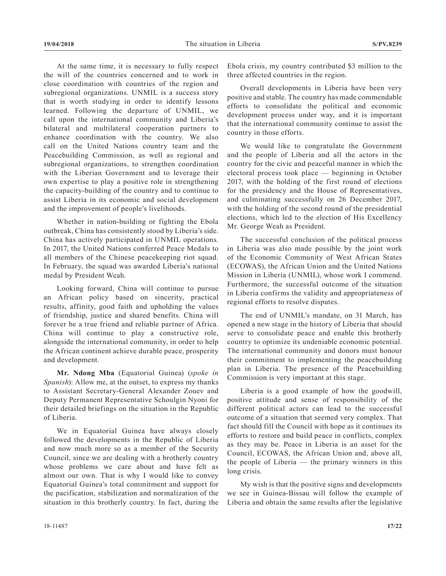At the same time, it is necessary to fully respect the will of the countries concerned and to work in close coordination with countries of the region and subregional organizations. UNMIL is a success story that is worth studying in order to identify lessons learned. Following the departure of UNMIL, we call upon the international community and Liberia's bilateral and multilateral cooperation partners to enhance coordination with the country. We also call on the United Nations country team and the Peacebuilding Commission, as well as regional and subregional organizations, to strengthen coordination with the Liberian Government and to leverage their own expertise to play a positive role in strengthening the capacity-building of the country and to continue to assist Liberia in its economic and social development and the improvement of people's livelihoods.

Whether in nation-building or fighting the Ebola outbreak, China has consistently stood by Liberia's side. China has actively participated in UNMIL operations. In 2017, the United Nations conferred Peace Medals to all members of the Chinese peacekeeping riot squad. In February, the squad was awarded Liberia's national medal by President Weah.

Looking forward, China will continue to pursue an African policy based on sincerity, practical results, affinity, good faith and upholding the values of friendship, justice and shared benefits. China will forever be a true friend and reliable partner of Africa. China will continue to play a constructive role, alongside the international community, in order to help the African continent achieve durable peace, prosperity and development.

**Mr. Ndong Mba** (Equatorial Guinea) (*spoke in Spanish*): Allow me, at the outset, to express my thanks to Assistant Secretary-General Alexander Zouev and Deputy Permanent Representative Schoulgin Nyoni for their detailed briefings on the situation in the Republic of Liberia.

We in Equatorial Guinea have always closely followed the developments in the Republic of Liberia and now much more so as a member of the Security Council, since we are dealing with a brotherly country whose problems we care about and have felt as almost our own. That is why I would like to convey Equatorial Guinea's total commitment and support for the pacification, stabilization and normalization of the situation in this brotherly country. In fact, during the Ebola crisis, my country contributed \$3 million to the three affected countries in the region.

Overall developments in Liberia have been very positive and stable. The country has made commendable efforts to consolidate the political and economic development process under way, and it is important that the international community continue to assist the country in those efforts.

We would like to congratulate the Government and the people of Liberia and all the actors in the country for the civic and peaceful manner in which the electoral process took place — beginning in October 2017, with the holding of the first round of elections for the presidency and the House of Representatives, and culminating successfully on 26 December 2017, with the holding of the second round of the presidential elections, which led to the election of His Excellency Mr. George Weah as President.

The successful conclusion of the political process in Liberia was also made possible by the joint work of the Economic Community of West African States (ECOWAS), the African Union and the United Nations Mission in Liberia (UNMIL), whose work I commend. Furthermore, the successful outcome of the situation in Liberia confirms the validity and appropriateness of regional efforts to resolve disputes.

The end of UNMIL's mandate, on 31 March, has opened a new stage in the history of Liberia that should serve to consolidate peace and enable this brotherly country to optimize its undeniable economic potential. The international community and donors must honour their commitment to implementing the peacebuilding plan in Liberia. The presence of the Peacebuilding Commission is very important at this stage.

Liberia is a good example of how the goodwill, positive attitude and sense of responsibility of the different political actors can lead to the successful outcome of a situation that seemed very complex. That fact should fill the Council with hope as it continues its efforts to restore and build peace in conflicts, complex as they may be. Peace in Liberia is an asset for the Council, ECOWAS, the African Union and, above all, the people of Liberia — the primary winners in this long crisis.

My wish is that the positive signs and developments we see in Guinea-Bissau will follow the example of Liberia and obtain the same results after the legislative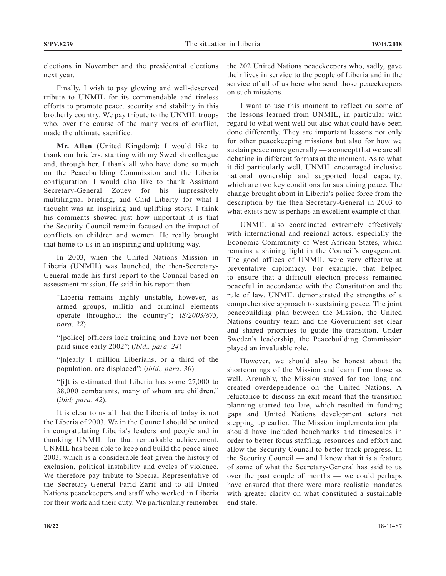elections in November and the presidential elections next year.

Finally, I wish to pay glowing and well-deserved tribute to UNMIL for its commendable and tireless efforts to promote peace, security and stability in this brotherly country. We pay tribute to the UNMIL troops who, over the course of the many years of conflict, made the ultimate sacrifice.

**Mr. Allen** (United Kingdom): I would like to thank our briefers, starting with my Swedish colleague and, through her, I thank all who have done so much on the Peacebuilding Commission and the Liberia configuration. I would also like to thank Assistant Secretary-General Zouev for his impressively multilingual briefing, and Chid Liberty for what I thought was an inspiring and uplifting story. I think his comments showed just how important it is that the Security Council remain focused on the impact of conflicts on children and women. He really brought that home to us in an inspiring and uplifting way.

In 2003, when the United Nations Mission in Liberia (UNMIL) was launched, the then-Secretary-General made his first report to the Council based on assessment mission. He said in his report then:

"Liberia remains highly unstable, however, as armed groups, militia and criminal elements operate throughout the country"; (*S/2003/875, para. 22*)

"[police] officers lack training and have not been paid since early 2002"; (*ibid., para. 24*)

"[n]early 1 million Liberians, or a third of the population, are displaced"; (*ibid., para. 30*)

"[i]t is estimated that Liberia has some 27,000 to 38,000 combatants, many of whom are children." (*ibid; para. 42*).

It is clear to us all that the Liberia of today is not the Liberia of 2003. We in the Council should be united in congratulating Liberia's leaders and people and in thanking UNMIL for that remarkable achievement. UNMIL has been able to keep and build the peace since 2003, which is a considerable feat given the history of exclusion, political instability and cycles of violence. We therefore pay tribute to Special Representative of the Secretary-General Farid Zarif and to all United Nations peacekeepers and staff who worked in Liberia for their work and their duty. We particularly remember the 202 United Nations peacekeepers who, sadly, gave their lives in service to the people of Liberia and in the service of all of us here who send those peacekeepers on such missions.

I want to use this moment to reflect on some of the lessons learned from UNMIL, in particular with regard to what went well but also what could have been done differently. They are important lessons not only for other peacekeeping missions but also for how we sustain peace more generally — a concept that we are all debating in different formats at the moment. As to what it did particularly well, UNMIL encouraged inclusive national ownership and supported local capacity, which are two key conditions for sustaining peace. The change brought about in Liberia's police force from the description by the then Secretary-General in 2003 to what exists now is perhaps an excellent example of that.

UNMIL also coordinated extremely effectively with international and regional actors, especially the Economic Community of West African States, which remains a shining light in the Council's engagement. The good offices of UNMIL were very effective at preventative diplomacy. For example, that helped to ensure that a difficult election process remained peaceful in accordance with the Constitution and the rule of law. UNMIL demonstrated the strengths of a comprehensive approach to sustaining peace. The joint peacebuilding plan between the Mission, the United Nations country team and the Government set clear and shared priorities to guide the transition. Under Sweden's leadership, the Peacebuilding Commission played an invaluable role.

However, we should also be honest about the shortcomings of the Mission and learn from those as well. Arguably, the Mission stayed for too long and created overdependence on the United Nations. A reluctance to discuss an exit meant that the transition planning started too late, which resulted in funding gaps and United Nations development actors not stepping up earlier. The Mission implementation plan should have included benchmarks and timescales in order to better focus staffing, resources and effort and allow the Security Council to better track progress. In the Security Council — and I know that it is a feature of some of what the Secretary-General has said to us over the past couple of months — we could perhaps have ensured that there were more realistic mandates with greater clarity on what constituted a sustainable end state.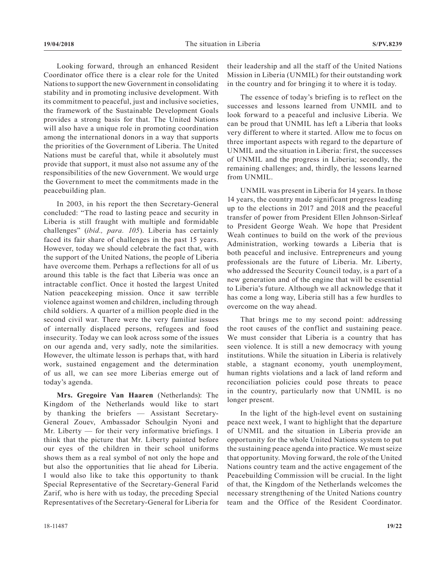Looking forward, through an enhanced Resident Coordinator office there is a clear role for the United Nations to support the new Government in consolidating stability and in promoting inclusive development. With its commitment to peaceful, just and inclusive societies, the framework of the Sustainable Development Goals provides a strong basis for that. The United Nations will also have a unique role in promoting coordination among the international donors in a way that supports the priorities of the Government of Liberia. The United Nations must be careful that, while it absolutely must provide that support, it must also not assume any of the responsibilities of the new Government. We would urge the Government to meet the commitments made in the peacebuilding plan.

In 2003, in his report the then Secretary-General concluded: "The road to lasting peace and security in Liberia is still fraught with multiple and formidable challenges" (*ibid., para. 105*). Liberia has certainly faced its fair share of challenges in the past 15 years. However, today we should celebrate the fact that, with the support of the United Nations, the people of Liberia have overcome them. Perhaps a reflections for all of us around this table is the fact that Liberia was once an intractable conflict. Once it hosted the largest United Nation peacekeeping mission. Once it saw terrible violence against women and children, including through child soldiers. A quarter of a million people died in the second civil war. There were the very familiar issues of internally displaced persons, refugees and food insecurity. Today we can look across some of the issues on our agenda and, very sadly, note the similarities. However, the ultimate lesson is perhaps that, with hard work, sustained engagement and the determination of us all, we can see more Liberias emerge out of today's agenda.

**Mrs. Gregoire Van Haaren** (Netherlands): The Kingdom of the Netherlands would like to start by thanking the briefers — Assistant Secretary-General Zouev, Ambassador Schoulgin Nyoni and Mr. Liberty — for their very informative briefings. I think that the picture that Mr. Liberty painted before our eyes of the children in their school uniforms shows them as a real symbol of not only the hope and but also the opportunities that lie ahead for Liberia. I would also like to take this opportunity to thank Special Representative of the Secretary-General Farid Zarif, who is here with us today, the preceding Special Representatives of the Secretary-General for Liberia for

The essence of today's briefing is to reflect on the successes and lessons learned from UNMIL and to look forward to a peaceful and inclusive Liberia. We can be proud that UNMIL has left a Liberia that looks very different to where it started. Allow me to focus on three important aspects with regard to the departure of UNMIL and the situation in Liberia: first, the successes of UNMIL and the progress in Liberia; secondly, the remaining challenges; and, thirdly, the lessons learned from UNMIL.

UNMIL was present in Liberia for 14 years. In those 14 years, the country made significant progress leading up to the elections in 2017 and 2018 and the peaceful transfer of power from President Ellen Johnson-Sirleaf to President George Weah. We hope that President Weah continues to build on the work of the previous Administration, working towards a Liberia that is both peaceful and inclusive. Entrepreneurs and young professionals are the future of Liberia. Mr. Liberty, who addressed the Security Council today, is a part of a new generation and of the engine that will be essential to Liberia's future. Although we all acknowledge that it has come a long way, Liberia still has a few hurdles to overcome on the way ahead.

That brings me to my second point: addressing the root causes of the conflict and sustaining peace. We must consider that Liberia is a country that has seen violence. It is still a new democracy with young institutions. While the situation in Liberia is relatively stable, a stagnant economy, youth unemployment, human rights violations and a lack of land reform and reconciliation policies could pose threats to peace in the country, particularly now that UNMIL is no longer present.

In the light of the high-level event on sustaining peace next week, I want to highlight that the departure of UNMIL and the situation in Liberia provide an opportunity for the whole United Nations system to put the sustaining peace agenda into practice. We must seize that opportunity. Moving forward, the role of the United Nations country team and the active engagement of the Peacebuilding Commission will be crucial. In the light of that, the Kingdom of the Netherlands welcomes the necessary strengthening of the United Nations country team and the Office of the Resident Coordinator.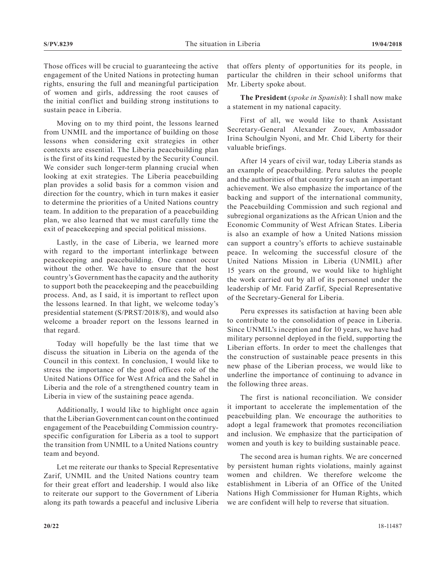Those offices will be crucial to guaranteeing the active engagement of the United Nations in protecting human rights, ensuring the full and meaningful participation of women and girls, addressing the root causes of the initial conflict and building strong institutions to sustain peace in Liberia.

Moving on to my third point, the lessons learned from UNMIL and the importance of building on those lessons when considering exit strategies in other contexts are essential. The Liberia peacebuilding plan is the first of its kind requested by the Security Council. We consider such longer-term planning crucial when looking at exit strategies. The Liberia peacebuilding plan provides a solid basis for a common vision and direction for the country, which in turn makes it easier to determine the priorities of a United Nations country team. In addition to the preparation of a peacebuilding plan, we also learned that we must carefully time the exit of peacekeeping and special political missions.

Lastly, in the case of Liberia, we learned more with regard to the important interlinkage between peacekeeping and peacebuilding. One cannot occur without the other. We have to ensure that the host country's Government has the capacity and the authority to support both the peacekeeping and the peacebuilding process. And, as I said, it is important to reflect upon the lessons learned. In that light, we welcome today's presidential statement (S/PRST/2018/8), and would also welcome a broader report on the lessons learned in that regard.

Today will hopefully be the last time that we discuss the situation in Liberia on the agenda of the Council in this context. In conclusion, I would like to stress the importance of the good offices role of the United Nations Office for West Africa and the Sahel in Liberia and the role of a strengthened country team in Liberia in view of the sustaining peace agenda.

Additionally, I would like to highlight once again that the Liberian Government can count on the continued engagement of the Peacebuilding Commission countryspecific configuration for Liberia as a tool to support the transition from UNMIL to a United Nations country team and beyond.

Let me reiterate our thanks to Special Representative Zarif, UNMIL and the United Nations country team for their great effort and leadership. I would also like to reiterate our support to the Government of Liberia along its path towards a peaceful and inclusive Liberia

that offers plenty of opportunities for its people, in particular the children in their school uniforms that Mr. Liberty spoke about.

**The President** (*spoke in Spanish*): I shall now make a statement in my national capacity.

First of all, we would like to thank Assistant Secretary-General Alexander Zouev, Ambassador Irina Schoulgin Nyoni, and Mr. Chid Liberty for their valuable briefings.

After 14 years of civil war, today Liberia stands as an example of peacebuilding. Peru salutes the people and the authorities of that country for such an important achievement. We also emphasize the importance of the backing and support of the international community, the Peacebuilding Commission and such regional and subregional organizations as the African Union and the Economic Community of West African States. Liberia is also an example of how a United Nations mission can support a country's efforts to achieve sustainable peace. In welcoming the successful closure of the United Nations Mission in Liberia (UNMIL) after 15 years on the ground, we would like to highlight the work carried out by all of its personnel under the leadership of Mr. Farid Zarfif, Special Representative of the Secretary-General for Liberia.

Peru expresses its satisfaction at having been able to contribute to the consolidation of peace in Liberia. Since UNMIL's inception and for 10 years, we have had military personnel deployed in the field, supporting the Liberian efforts. In order to meet the challenges that the construction of sustainable peace presents in this new phase of the Liberian process, we would like to underline the importance of continuing to advance in the following three areas.

The first is national reconciliation. We consider it important to accelerate the implementation of the peacebuilding plan. We encourage the authorities to adopt a legal framework that promotes reconciliation and inclusion. We emphasize that the participation of women and youth is key to building sustainable peace.

The second area is human rights. We are concerned by persistent human rights violations, mainly against women and children. We therefore welcome the establishment in Liberia of an Office of the United Nations High Commissioner for Human Rights, which we are confident will help to reverse that situation.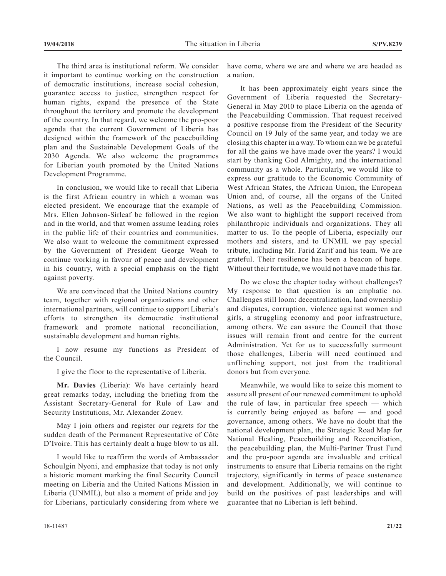The third area is institutional reform. We consider it important to continue working on the construction of democratic institutions, increase social cohesion, guarantee access to justice, strengthen respect for human rights, expand the presence of the State throughout the territory and promote the development of the country. In that regard, we welcome the pro-poor agenda that the current Government of Liberia has designed within the framework of the peacebuilding plan and the Sustainable Development Goals of the 2030 Agenda. We also welcome the programmes for Liberian youth promoted by the United Nations Development Programme.

In conclusion, we would like to recall that Liberia is the first African country in which a woman was elected president. We encourage that the example of Mrs. Ellen Johnson-Sirleaf be followed in the region and in the world, and that women assume leading roles in the public life of their countries and communities. We also want to welcome the commitment expressed by the Government of President George Weah to continue working in favour of peace and development in his country, with a special emphasis on the fight against poverty.

We are convinced that the United Nations country team, together with regional organizations and other international partners, will continue to support Liberia's efforts to strengthen its democratic institutional framework and promote national reconciliation, sustainable development and human rights.

I now resume my functions as President of the Council.

I give the floor to the representative of Liberia.

**Mr. Davies** (Liberia): We have certainly heard great remarks today, including the briefing from the Assistant Secretary-General for Rule of Law and Security Institutions, Mr. Alexander Zouev.

May I join others and register our regrets for the sudden death of the Permanent Representative of Côte D'Ivoire. This has certainly dealt a huge blow to us all.

I would like to reaffirm the words of Ambassador Schoulgin Nyoni, and emphasize that today is not only a historic moment marking the final Security Council meeting on Liberia and the United Nations Mission in Liberia (UNMIL), but also a moment of pride and joy for Liberians, particularly considering from where we

have come, where we are and where we are headed as a nation.

It has been approximately eight years since the Government of Liberia requested the Secretary-General in May 2010 to place Liberia on the agenda of the Peacebuilding Commission. That request received a positive response from the President of the Security Council on 19 July of the same year, and today we are closing this chapter in a way. To whom can we be grateful for all the gains we have made over the years? I would start by thanking God Almighty, and the international community as a whole. Particularly, we would like to express our gratitude to the Economic Community of West African States, the African Union, the European Union and, of course, all the organs of the United Nations, as well as the Peacebuilding Commission. We also want to highlight the support received from philanthropic individuals and organizations. They all matter to us. To the people of Liberia, especially our mothers and sisters, and to UNMIL we pay special tribute, including Mr. Farid Zarif and his team. We are grateful. Their resilience has been a beacon of hope. Without their fortitude, we would not have made this far.

Do we close the chapter today without challenges? My response to that question is an emphatic no. Challenges still loom: decentralization, land ownership and disputes, corruption, violence against women and girls, a struggling economy and poor infrastructure, among others. We can assure the Council that those issues will remain front and centre for the current Administration. Yet for us to successfully surmount those challenges, Liberia will need continued and unflinching support, not just from the traditional donors but from everyone.

Meanwhile, we would like to seize this moment to assure all present of our renewed commitment to uphold the rule of law, in particular free speech — which is currently being enjoyed as before — and good governance, among others. We have no doubt that the national development plan, the Strategic Road Map for National Healing, Peacebuilding and Reconciliation, the peacebuilding plan, the Multi-Partner Trust Fund and the pro-poor agenda are invaluable and critical instruments to ensure that Liberia remains on the right trajectory, significantly in terms of peace sustenance and development. Additionally, we will continue to build on the positives of past leaderships and will guarantee that no Liberian is left behind.